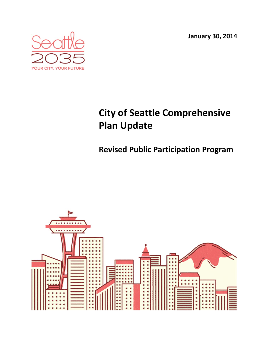**January 30, 2014**



# **City of Seattle Comprehensive Plan Update**

## **Revised Public Participation Program**

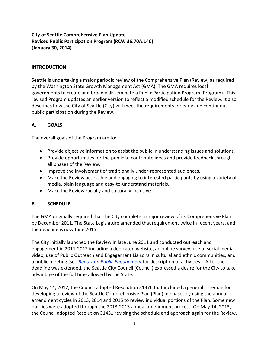### **City of Seattle Comprehensive Plan Update Revised Public Participation Program (RCW 36.70A.140) (January 30, 2014)**

#### **INTRODUCTION**

Seattle is undertaking a major periodic review of the Comprehensive Plan (Review) as required by the Washington State Growth Management Act (GMA). The GMA requires local governments to create and broadly disseminate a Public Participation Program (Program). This revised Program updates an earlier version to reflect a modified schedule for the Review. It also describes how the City of Seattle (City) will meet the requirements for early and continuous public participation during the Review.

#### **A. GOALS**

The overall goals of the Program are to:

- Provide objective information to assist the public in understanding issues and solutions.
- Provide opportunities for the public to contribute ideas and provide feedback through all phases of the Review.
- Improve the involvement of traditionally under-represented audiences.
- Make the Review accessible and engaging to interested participants by using a variety of media, plain language and easy‐to‐understand materials.
- Make the Review racially and culturally inclusive.

#### **B. SCHEDULE**

The GMA originally required that the City complete a major review of its Comprehensive Plan by December 2011. The State Legislature amended that requirement twice in recent years, and the deadline is now June 2015.

The City initially launched the Review in late June 2011 and conducted outreach and engagement in 2011‐2012 including a dedicated website, an online survey, use of social media, video, use of Public Outreach and Engagement Liaisons in cultural and ethnic communities, and a public meeting (see *Report on Public Engagement* for description of activities). After the deadline was extended, the Seattle City Council (Council) expressed a desire for the City to take advantage of the full time allowed by the State.

On May 14, 2012, the Council adopted Resolution 31370 that included a general schedule for developing a review of the Seattle Comprehensive Plan (Plan) in phases by using the annual amendment cycles in 2013, 2014 and 2015 to review individual portions of the Plan. Some new policies were adopted through the 2013‐2013 annual amendment process. On May 14, 2013, the Council adopted Resolution 31451 revising the schedule and approach again for the Review.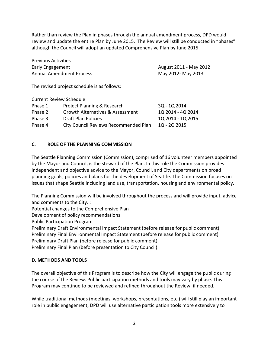Rather than review the Plan in phases through the annual amendment process, DPD would review and update the entire Plan by June 2015. The Review will still be conducted in "phases" although the Council will adopt an updated Comprehensive Plan by June 2015.

| <b>Previous Activities</b>      |                        |
|---------------------------------|------------------------|
| Early Engagement                | August 2011 - May 2012 |
| <b>Annual Amendment Process</b> | May 2012- May 2013     |

The revised project schedule is as follows:

Current Review Schedule

| Current Review Scriedule |                                       |                   |
|--------------------------|---------------------------------------|-------------------|
| Phase 1                  | Project Planning & Research           | 3Q - 1Q 2014      |
| Phase 2                  | Growth Alternatives & Assessment      | 1Q 2014 - 4Q 2014 |
| Phase 3                  | Draft Plan Policies                   | 1Q 2014 - 1Q 2015 |
| Phase 4                  | City Council Reviews Recommended Plan | 1Q - 2Q 2015      |
|                          |                                       |                   |

#### **C. ROLE OF THE PLANNING COMMISSION**

The Seattle Planning Commission (Commission), comprised of 16 volunteer members appointed by the Mayor and Council, is the steward of the Plan. In this role the Commission provides independent and objective advice to the Mayor, Council, and City departments on broad planning goals, policies and plans for the development of Seattle. The Commission focuses on issues that shape Seattle including land use, transportation, housing and environmental policy.

The Planning Commission will be involved throughout the process and will provide input, advice and comments to the City. :

Potential changes to the Comprehensive Plan

Development of policy recommendations

Public Participation Program

Preliminary Draft Environmental Impact Statement (before release for public comment) Preliminary Final Environmental Impact Statement (before release for public comment) Preliminary Draft Plan (before release for public comment)

Preliminary Final Plan (before presentation to City Council).

#### **D. METHODS AND TOOLS**

The overall objective of this Program is to describe how the City will engage the public during the course of the Review. Public participation methods and tools may vary by phase. This Program may continue to be reviewed and refined throughout the Review, if needed.

While traditional methods (meetings, workshops, presentations, etc.) will still play an important role in public engagement, DPD will use alternative participation tools more extensively to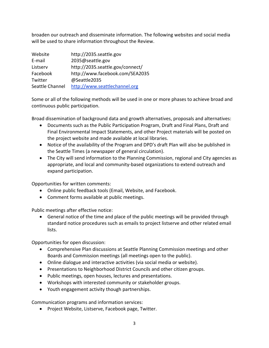broaden our outreach and disseminate information. The following websites and social media will be used to share information throughout the Review.

| Website         | http://2035.seattle.gov          |
|-----------------|----------------------------------|
| E-mail          | 2035@seattle.gov                 |
| Listserv        | http://2035.seattle.gov/connect/ |
| Facebook        | http://www.facebook.com/SEA2035  |
| Twitter         | @Seattle2035                     |
| Seattle Channel | http://www.seattlechannel.org    |

Some or all of the following methods will be used in one or more phases to achieve broad and continuous public participation.

Broad dissemination of background data and growth alternatives, proposals and alternatives:

- Documents such as the Public Participation Program, Draft and Final Plans, Draft and Final Environmental Impact Statements, and other Project materials will be posted on the project website and made available at local libraries.
- Notice of the availability of the Program and DPD's draft Plan will also be published in the Seattle Times (a newspaper of general circulation).
- The City will send information to the Planning Commission, regional and City agencies as appropriate, and local and community‐based organizations to extend outreach and expand participation.

Opportunities for written comments:

- Online public feedback tools (Email, Website, and Facebook.
- Comment forms available at public meetings.

Public meetings after effective notice:

 General notice of the time and place of the public meetings will be provided through standard notice procedures such as emails to project listserve and other related email lists.

Opportunities for open discussion:

- Comprehensive Plan discussions at Seattle Planning Commission meetings and other Boards and Commission meetings (all meetings open to the public).
- Online dialogue and interactive activities (via social media or website).
- Presentations to Neighborhood District Councils and other citizen groups.
- Public meetings, open houses, lectures and presentations.
- Workshops with interested community or stakeholder groups.
- Youth engagement activity though partnerships.

Communication programs and information services:

• Project Website, Listserve, Facebook page, Twitter.